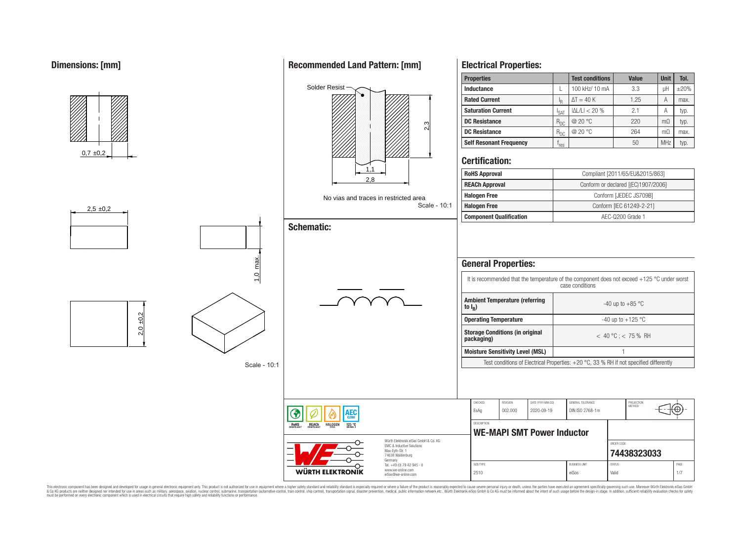## **Dimensions: [mm]**



This electronic component has been designed and developed for usage in general electronic equipment only. This product is not authorized for use in equipment where a higher safely standard and reliability standard si espec & Ook product a label and the membed of the seasuch as marked and as which such a membed and the such assume that income in the seasuch and the simulation and the such assume that include to the such a membed and the such

## **Recommended Land Pattern: [mm]**

**Electrical Properties:**

**Properties Test conditions Value Unit Tol.**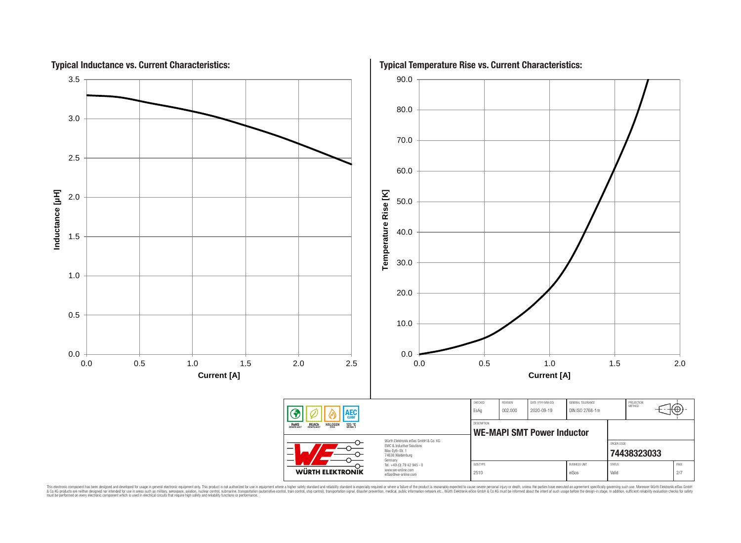

This electronic component has been designed and developed for usage in general electronic equipment only. This product is not authorized for subserved requipment where a higher selection equipment where a higher selection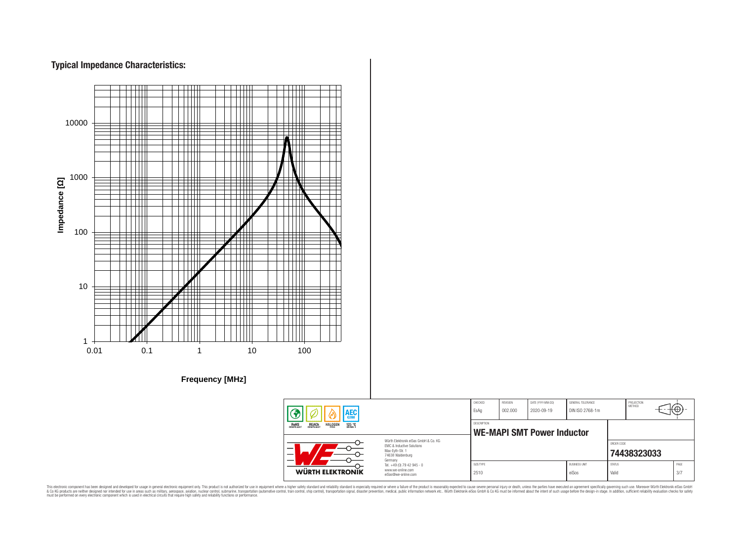# **Typical Impedance Characteristics:**



This electronic component has been designed and developed for usage in general electronic equipment only. This product is not authorized for use in equipment where a higher safely standard and reliability standard si espec & Ook product a label and the membed of the seasuch as marked and as which such a membed and the such assume that income in the seasuch and the simulation and the such assume that include to the such a membed and the such

76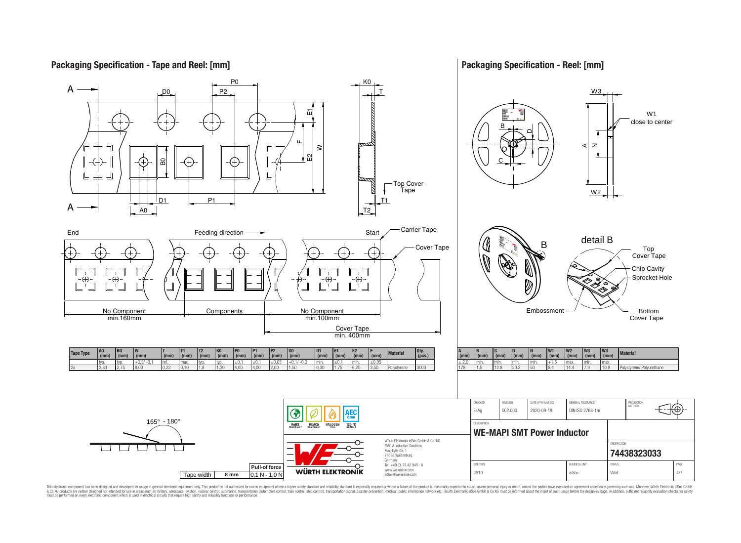#### **Packaging Specification - Reel: [mm] Packaging Specification - Tape and Reel: [mm]** P0 K0 A P2 W3 D0 T Ĕц W1 close to center B DLL. z A $\geq$  $\Omega$ ន C ╚ ╪ است Top Cover N Tape W2 D<sub>1</sub> P1 T1 A A0 T2 End End Start  $\begin{array}{ccc} \text{Feeding direction} \longrightarrow & \text{Stat} \end{array}$ detail B B Cover Tape Top (+ Cover Tape Chip Cavity Sprocket Hole  $\oplus$  $\oplus$  $\cdot \left( \! \! + \! \right)$ ″ Ø ′⊗ Components  $\Box$  No Component Embossment No Component Bottom min.160mm min.100mm Cover Tape Cover Tape min. 400mm **T2 P2 D0 D1 E1 E2 F** (mm) Material Qty.<br>  $\begin{array}{c|c}\n\hline\n\text{f} & \text{Materal} \\
\hline\n\text{f} & \text{g}\n\end{array}$ **W1 W2 W3 W3 B0 W T T1 K0 P0 P1 A (mm) B C D (mm) N Tape Type (mm) Material**  $\frac{(\text{mm})}{+0.1/-0.0}$  **(mm) (mm) (mm) (pcs.)**  $\frac{(mm)}{+1.5}$ *f*<sub>mm</sub>  **(mm) (mm) (mm) (mm) (mm) (mm) (mm) (mm) (mm) (mm) (mm) (mm) (mm) (mm) (mm)** typ. typ. +0,3/ -0,1 ref. max. typ. typ. ±0,1 ±0,1 ±0,05 +0,1/ -0,0 min. ±0,1 min. ±0,05 ± 2,0 min. min. min. min. +1,5 max. min. max. 178 1.5 12.8 20.2 50 8.4 14.4 7.9 10.9 Polystyrene/ Polyurethane 2a 2,30 2,75 8,00 0,22 0,10 1,8 1,30 4,00 4,00 2,00 1,50 0,30 1,75 6,25 3,50 Polystyrene 3000 CHECKED REVISION DATE (YYYY-MM-DD) GENERAL TOLERANCE PROJECTION<br>METHOD 16 EsAg 002.000 2020-09-19 DIN ISO 2768-1m AEC (1 165° - 180° **DESCRIPTION RoHS** REACH **HALOGEN** 125 °C **WE-MAPI SMT Power Inductor** Würth Elektronik eiSos GmbH & Co. KG ORDER CODE EMC & Inductive Solutions Max-Eyth-Str. 1 **[74438323033](https://katalog.we-online.de/en/pbs/WE-MAPI/74438323033)** 74638 Waldenburg Germany

This electronic component has been designed and developed for usage in general electronic equipment only. This product is not authorized for subserved requipment where a higher selection equipment where a higher selection

**WÜRTH ELEKTRONIK** 

Tel. +49 (0) 79 42 945 - 0 www.we-online.com eiSos@we-online.com

SIZE/TYPE BUSINESS UNIT STATUS PAGE 2510 eiSos | Valid 4/7

**Pull-of force**

Tape width **8 mm** 0,1 N - 1,0 N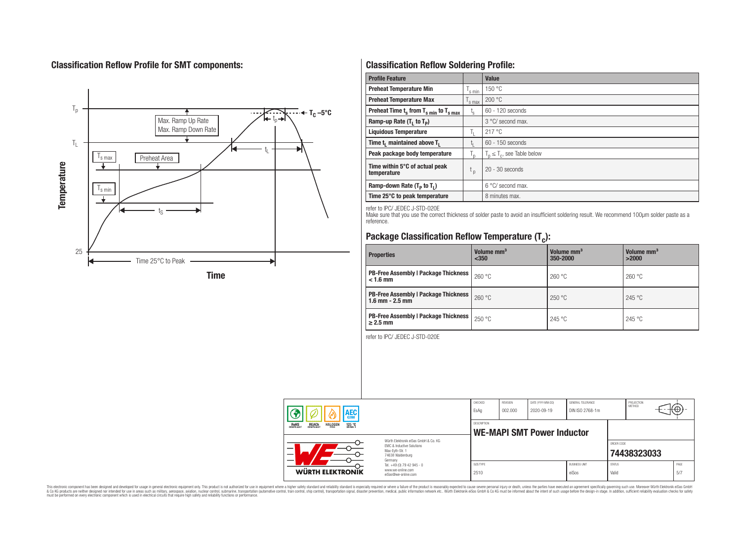# **Classification Reflow Profile for SMT components:**



# **Classification Reflow Soldering Profile:**

| <b>Profile Feature</b>                             |                    | <b>Value</b>                     |
|----------------------------------------------------|--------------------|----------------------------------|
| <b>Preheat Temperature Min</b>                     | <sup>I</sup> s min | 150 °C                           |
| <b>Preheat Temperature Max</b>                     | <sup>I</sup> s max | 200 °C                           |
| Preheat Time $t_s$ from $T_{s min}$ to $T_{s max}$ | $t_{\rm s}$        | $60 - 120$ seconds               |
| Ramp-up Rate $(T_1$ to $T_p$ )                     |                    | 3 °C/ second max.                |
| <b>Liquidous Temperature</b>                       | Ь.                 | 217 °C                           |
| Time $t_i$ maintained above $T_i$                  | կ                  | $60 - 150$ seconds               |
| Peak package body temperature                      | l n                | $T_p \leq T_c$ , see Table below |
| Time within 5°C of actual peak<br>temperature      | $t_{p}$            | $20 - 30$ seconds                |
| Ramp-down Rate $(T_p$ to $T_1$ )                   |                    | $6^{\circ}$ C/ second max.       |
| Time 25°C to peak temperature                      |                    | 8 minutes max.                   |

refer to IPC/ JEDEC J-STD-020E

Make sure that you use the correct thickness of solder paste to avoid an insufficient soldering result. We recommend 100µm solder paste as a reference.

# **Package Classification Reflow Temperature (T<sup>c</sup> ):**

| <b>Properties</b>                                                    | Volume mm <sup>3</sup><br>< 350 | Volume mm <sup>3</sup><br>350-2000 | Volume mm <sup>3</sup><br>>2000 |  |
|----------------------------------------------------------------------|---------------------------------|------------------------------------|---------------------------------|--|
| <b>PB-Free Assembly   Package Thickness  </b><br>$< 1.6$ mm          | 260 °C                          | 260 °C                             | 260 °C                          |  |
| <b>PB-Free Assembly   Package Thickness  </b><br>$1.6$ mm $- 2.5$ mm | 260 °C                          | 250 °C                             | 245 °C                          |  |
| <b>PB-Free Assembly   Package Thickness  </b><br>$\geq$ 2.5 mm       | 250 °C                          | 245 °C                             | 245 °C                          |  |

refer to IPC/ JEDEC J-STD-020E

| AEC<br><b>REACH</b><br>COMPLIANT<br><b>HALOGEN</b><br><b>ROHS</b><br>COMPLIANT<br>125 °C |                                                                                                                                                                                               | CHECKED<br>EsAq                                  | REVISION<br>002.000 | DATE (YYYY-MM-DD)<br>2020-09-19 | GENERAL TOLERANCE<br>DIN ISO 2768-1m |                        | PROJECTION<br>METHOD | ⊕            |
|------------------------------------------------------------------------------------------|-----------------------------------------------------------------------------------------------------------------------------------------------------------------------------------------------|--------------------------------------------------|---------------------|---------------------------------|--------------------------------------|------------------------|----------------------|--------------|
|                                                                                          |                                                                                                                                                                                               | DESCRIPTION<br><b>WE-MAPI SMT Power Inductor</b> |                     |                                 |                                      |                        |                      |              |
|                                                                                          | Würth Flektronik eiSos GmbH & Co. KG<br>EMC & Inductive Solutions<br>Max-Eyth-Str. 1<br>74638 Waldenburg<br>Germany<br>Tel. +49 (0) 79 42 945 - 0<br>www.we-online.com<br>eiSos@we-online.com |                                                  |                     |                                 |                                      | ORDER CODE             | 74438323033          |              |
| WÜRTH ELEKTRONIK                                                                         |                                                                                                                                                                                               | SIZE/TYPE<br>2510                                |                     |                                 | <b>BUSINESS UNIT</b><br>eiSos        | <b>STATUS</b><br>Valid |                      | PAGE<br>.5/7 |

This electronic component has been designed and developed for usage in general electronic equipment only. This product is not authorized for subserved requipment where a higher selection equipment where a higher selection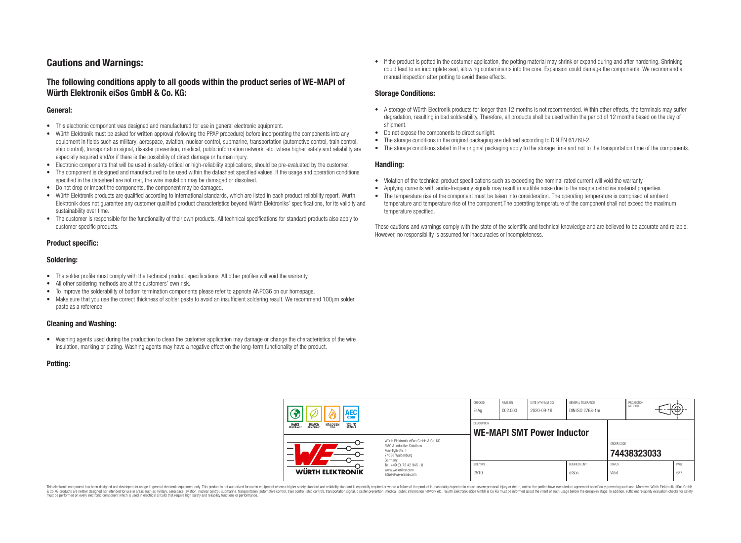# **Cautions and Warnings:**

### **The following conditions apply to all goods within the product series of WE-MAPI of Würth Elektronik eiSos GmbH & Co. KG:**

#### **General:**

- This electronic component was designed and manufactured for use in general electronic equipment.
- Würth Elektronik must be asked for written approval (following the PPAP procedure) before incorporating the components into any equipment in fields such as military, aerospace, aviation, nuclear control, submarine, transportation (automotive control, train control, ship control), transportation signal, disaster prevention, medical, public information network, etc. where higher safety and reliability are especially required and/or if there is the possibility of direct damage or human injury.
- Electronic components that will be used in safety-critical or high-reliability applications, should be pre-evaluated by the customer.
- The component is designed and manufactured to be used within the datasheet specified values. If the usage and operation conditions specified in the datasheet are not met, the wire insulation may be damaged or dissolved.
- Do not drop or impact the components, the component may be damaged.
- Würth Elektronik products are qualified according to international standards, which are listed in each product reliability report. Würth Elektronik does not guarantee any customer qualified product characteristics beyond Würth Elektroniks' specifications, for its validity and sustainability over time.
- The customer is responsible for the functionality of their own products. All technical specifications for standard products also apply to customer specific products.

### **Product specific:**

#### **Soldering:**

- The solder profile must comply with the technical product specifications. All other profiles will void the warranty.
- All other soldering methods are at the customers' own risk.
- To improve the solderability of bottom termination components please refer to appnote ANP036 on our homepage.
- Make sure that you use the correct thickness of solder paste to avoid an insufficient soldering result. We recommend 100µm solder paste as a reference.

### **Cleaning and Washing:**

• Washing agents used during the production to clean the customer application may damage or change the characteristics of the wire insulation, marking or plating. Washing agents may have a negative effect on the long-term functionality of the product.

#### **Potting:**

• If the product is potted in the costumer application, the potting material may shrink or expand during and after hardening. Shrinking could lead to an incomplete seal, allowing contaminants into the core. Expansion could damage the components. We recommend a manual inspection after potting to avoid these effects.

#### **Storage Conditions:**

- A storage of Würth Electronik products for longer than 12 months is not recommended. Within other effects, the terminals may suffer degradation, resulting in bad solderability. Therefore, all products shall be used within the period of 12 months based on the day of shipment.
- Do not expose the components to direct sunlight.
- The storage conditions in the original packaging are defined according to DIN EN 61760-2.
- The storage conditions stated in the original packaging apply to the storage time and not to the transportation time of the components.

#### **Handling:**

- Violation of the technical product specifications such as exceeding the nominal rated current will void the warranty.
- Applying currents with audio-frequency signals may result in audible noise due to the magnetostrictive material properties.
- The temperature rise of the component must be taken into consideration. The operating temperature is comprised of ambient temperature and temperature rise of the component.The operating temperature of the component shall not exceed the maximum temperature specified.

These cautions and warnings comply with the state of the scientific and technical knowledge and are believed to be accurate and reliable. However, no responsibility is assumed for inaccuracies or incompleteness.

| AEC<br>125 °C<br><b>ROHS</b><br>COMPLIANT<br><b>REACH</b><br>COMPLIANT<br><b>HALOGEN</b> |                                                                                                                                                                                               | CHECKED<br>EsAq                                  | <b>REVISION</b><br>002.000 | DATE (YYYY-MM-DD)<br>2020-09-19 | GENERAL TOLERANCE<br>DIN ISO 2768-1m |                        | PROJECTION<br>METHOD |  | ťΦ          |
|------------------------------------------------------------------------------------------|-----------------------------------------------------------------------------------------------------------------------------------------------------------------------------------------------|--------------------------------------------------|----------------------------|---------------------------------|--------------------------------------|------------------------|----------------------|--|-------------|
|                                                                                          |                                                                                                                                                                                               | DESCRIPTION<br><b>WE-MAPI SMT Power Inductor</b> |                            |                                 |                                      |                        |                      |  |             |
|                                                                                          | Würth Flektronik eiSos GmbH & Co. KG<br>FMC & Inductive Solutions<br>Max-Eyth-Str. 1<br>74638 Waldenburg<br>Germany<br>Tel. +49 (0) 79 42 945 - 0<br>www.we-online.com<br>eiSos@we-online.com |                                                  |                            |                                 |                                      | ORDER CODE             | 74438323033          |  |             |
| WÜRTH ELEKTRONIK                                                                         |                                                                                                                                                                                               | SIZE/TYPE<br>2510                                |                            |                                 | <b>BUSINESS UNIT</b><br>eiSos        | <b>STATUS</b><br>Valid |                      |  | PAGE<br>6/7 |

This electronic component has been designed and developed for usage in general electronic equipment only. This product is not authorized for use in equipment where a higher safety standard and reliability standard si espec & Ook product a label and the membed of the seasuch as marked and as which such a membed and the such assume that income in the seasuch and the simulation and the such assume that include to the such a membed and the such